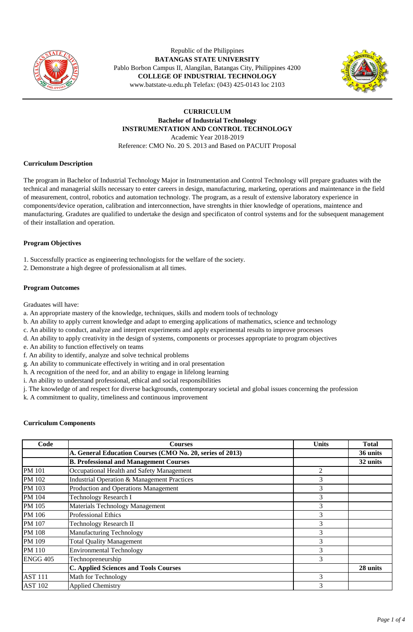

Republic of the Philippines **BATANGAS STATE UNIVERSITY**  Pablo Borbon Campus II, Alangilan, Batangas City, Philippines 4200 **COLLEGE OF INDUSTRIAL TECHNOLOGY** www.batstate-u.edu.ph Telefax: (043) 425-0143 loc 2103



# **CURRICULUM Bachelor of Industrial Technology INSTRUMENTATION AND CONTROL TECHNOLOGY** Academic Year 2018-2019 Reference: CMO No. 20 S. 2013 and Based on PACUIT Proposal

## **Curriculum Description**

The program in Bachelor of Industrial Technology Major in Instrumentation and Control Technology will prepare graduates with the technical and managerial skills necessary to enter careers in design, manufacturing, marketing, operations and maintenance in the field of measurement, control, robotics and automation technology. The program, as a result of extensive laboratory experience in components/device operation, calibration and interconnection, have strenghts in thier knowledge of operations, maintence and manufacturing. Gradutes are qualified to undertake the design and specificaton of control systems and for the subsequent management of their installation and operation.

## **Program Objectives**

- 1. Successfully practice as engineering technologists for the welfare of the society.
- 2. Demonstrate a high degree of professionalism at all times.

### **Program Outcomes**

Graduates will have:

- a. An appropriate mastery of the knowledge, techniques, skills and modern tools of technology
- b. An ability to apply current knowledge and adapt to emerging applications of mathematics, science and technology
- c. An ability to conduct, analyze and interpret experiments and apply experimental results to improve processes
- d. An ability to apply creativity in the design of systems, components or processes appropriate to program objectives
- e. An ability to function effectively on teams
- f. An ability to identify, analyze and solve technical problems
- g. An ability to communicate effectively in writing and in oral presentation
- h. A recognition of the need for, and an ability to engage in lifelong learning
- i. An ability to understand professional, ethical and social responsibilities
- j. The knowledge of and respect for diverse backgrounds, contemporary societal and global issues concerning the profession
- k. A commitment to quality, timeliness and continuous improvement

### **Curriculum Components**

| Code            | <b>Courses</b>                                            | <b>Units</b> | <b>Total</b> |
|-----------------|-----------------------------------------------------------|--------------|--------------|
|                 | A. General Education Courses (CMO No. 20, series of 2013) |              | 36 units     |
|                 | <b>B. Professional and Management Courses</b>             |              | 32 units     |
| <b>PM 101</b>   | Occupational Health and Safety Management                 | 2            |              |
| PM 102          | Industrial Operation & Management Practices               | 3            |              |
| PM 103          | Production and Operations Management                      | 3            |              |
| PM 104          | <b>Technology Research I</b>                              | 3            |              |
| PM 105          | <b>Materials Technology Management</b>                    | 3            |              |
| PM 106          | <b>Professional Ethics</b>                                | 3            |              |
| PM 107          | <b>Technology Research II</b>                             | 3            |              |
| <b>PM 108</b>   | Manufacturing Technology                                  | 3            |              |
| PM 109          | <b>Total Quality Management</b>                           | 3            |              |
| <b>PM</b> 110   | <b>Environmental Technology</b>                           | 3            |              |
| <b>ENGG 405</b> | Technopreneurship                                         | 3            |              |
|                 | <b>C. Applied Sciences and Tools Courses</b>              |              | 28 units     |
| <b>AST 111</b>  | Math for Technology                                       | 3            |              |
| <b>AST 102</b>  | <b>Applied Chemistry</b>                                  | 3            |              |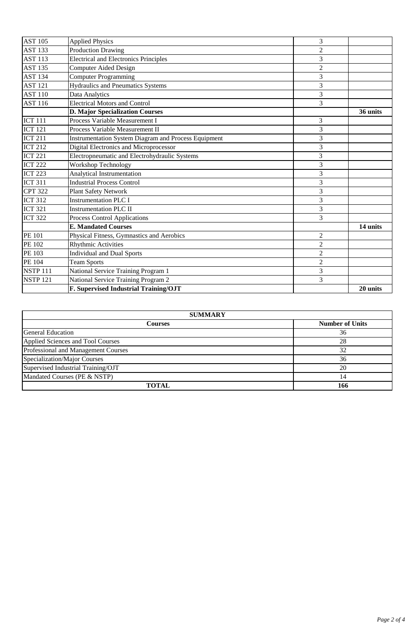| <b>AST 105</b>  | <b>Applied Physics</b>                                      | 3                |          |
|-----------------|-------------------------------------------------------------|------------------|----------|
| <b>AST 133</b>  | <b>Production Drawing</b>                                   | $\sqrt{2}$       |          |
| <b>AST 113</b>  | <b>Electrical and Electronics Principles</b>                | 3                |          |
| <b>AST 135</b>  | <b>Computer Aided Design</b>                                | $\overline{2}$   |          |
| <b>AST 134</b>  | <b>Computer Programming</b>                                 | 3                |          |
| <b>AST 121</b>  | <b>Hydraulics and Pneumatics Systems</b>                    | 3                |          |
| <b>AST 110</b>  | Data Analytics                                              | 3                |          |
| <b>AST 116</b>  | <b>Electrical Motors and Control</b>                        | 3                |          |
|                 | <b>D. Major Specialization Courses</b>                      |                  | 36 units |
| <b>ICT 111</b>  | Process Variable Measurement I                              | 3                |          |
| <b>ICT 121</b>  | Process Variable Measurement II                             | 3                |          |
| <b>ICT 211</b>  | <b>Instrumentation System Diagram and Process Equipment</b> | 3                |          |
| <b>ICT 212</b>  | Digital Electronics and Microprocessor                      | 3                |          |
| <b>ICT 221</b>  | Electropneumatic and Electrohydraulic Systems               | 3                |          |
| <b>ICT 222</b>  | Workshop Technology                                         | 3                |          |
| <b>ICT 223</b>  | Analytical Instrumentation                                  | 3                |          |
| <b>ICT 311</b>  | <b>Industrial Process Control</b>                           | 3                |          |
| <b>CPT 322</b>  | <b>Plant Safety Network</b>                                 | 3                |          |
| <b>ICT 312</b>  | <b>Instrumentation PLC I</b>                                | 3                |          |
| <b>ICT 321</b>  | <b>Instrumentation PLC II</b>                               | 3                |          |
| <b>ICT 322</b>  | <b>Process Control Applications</b>                         | 3                |          |
|                 | <b>E. Mandated Courses</b>                                  |                  | 14 units |
| <b>PE 101</b>   | Physical Fitness, Gymnastics and Aerobics                   | $\overline{2}$   |          |
| <b>PE 102</b>   | <b>Rhythmic Activities</b>                                  | $\overline{2}$   |          |
| PE 103          | <b>Individual and Dual Sports</b>                           | $\boldsymbol{2}$ |          |
| PE 104          | <b>Team Sports</b>                                          | $\overline{2}$   |          |
| <b>NSTP 111</b> | National Service Training Program 1                         | 3                |          |
| <b>NSTP 121</b> | National Service Training Program 2                         | 3                |          |
|                 | F. Supervised Industrial Training/OJT                       |                  | 20 units |

| <b>SUMMARY</b>                      |                        |  |  |  |  |
|-------------------------------------|------------------------|--|--|--|--|
| <b>Courses</b>                      | <b>Number of Units</b> |  |  |  |  |
| <b>General Education</b>            | 36                     |  |  |  |  |
| Applied Sciences and Tool Courses   | 28                     |  |  |  |  |
| Professional and Management Courses | 32                     |  |  |  |  |
| Specialization/Major Courses        | 36                     |  |  |  |  |
| Supervised Industrial Training/OJT  | 20                     |  |  |  |  |
| Mandated Courses (PE & NSTP)        | 14                     |  |  |  |  |
| <b>TOTAL</b>                        | 166                    |  |  |  |  |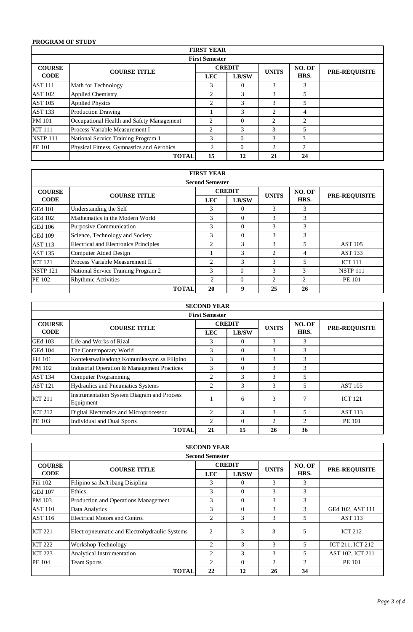# **PROGRAM OF STUDY**

|                       |                                           | <b>FIRST YEAR</b> |               |                |                |                      |  |
|-----------------------|-------------------------------------------|-------------------|---------------|----------------|----------------|----------------------|--|
| <b>First Semester</b> |                                           |                   |               |                |                |                      |  |
| <b>COURSE</b>         | <b>COURSE TITLE</b>                       |                   | <b>CREDIT</b> | <b>UNITS</b>   | NO. OF         | <b>PRE-REQUISITE</b> |  |
| <b>CODE</b>           |                                           | <b>LEC</b>        | LB/SW         |                | HRS.           |                      |  |
| <b>AST 111</b>        | Math for Technology                       | 3                 | $\theta$      | 3              | 3              |                      |  |
| <b>AST 102</b>        | <b>Applied Chemistry</b>                  | 2                 | 3             | 3              | 5              |                      |  |
| <b>AST 105</b>        | <b>Applied Physics</b>                    | 2                 | 3             | 3              | 5              |                      |  |
| <b>AST 133</b>        | <b>Production Drawing</b>                 |                   | 3             | $\mathfrak{D}$ | 4              |                      |  |
| <b>PM</b> 101         | Occupational Health and Safety Management | 2                 |               | $\overline{c}$ | 2              |                      |  |
| <b>ICT 111</b>        | Process Variable Measurement I            | 2                 | 3             | 3              | 5              |                      |  |
| <b>NSTP 111</b>       | National Service Training Program 1       | 3                 | $\Omega$      | 3              | 3              |                      |  |
| <b>PE 101</b>         | Physical Fitness, Gymnastics and Aerobics | $\overline{c}$    | $\Omega$      | $\mathfrak{D}$ | $\mathfrak{D}$ |                      |  |
|                       | <b>TOTAL</b>                              | 15                | 12            | 21             | 24             |                      |  |

|                        | <b>FIRST YEAR</b>                            |                |               |                             |                |                      |  |
|------------------------|----------------------------------------------|----------------|---------------|-----------------------------|----------------|----------------------|--|
| <b>Second Semester</b> |                                              |                |               |                             |                |                      |  |
| <b>COURSE</b>          | <b>COURSE TITLE</b>                          |                | <b>CREDIT</b> |                             | NO. OF         | <b>PRE-REQUISITE</b> |  |
| <b>CODE</b>            |                                              | <b>LEC</b>     | <b>LB/SW</b>  | <b>UNITS</b>                | HRS.           |                      |  |
| <b>GEd 101</b>         | Understanding the Self                       | 3              | 0             | 3                           | 3              |                      |  |
| <b>GEd 102</b>         | Mathematics in the Modern World              | 3              | $\Omega$      | 3                           | 3              |                      |  |
| <b>GEd 106</b>         | <b>Purposive Communication</b>               | 3              | $\Omega$      | 3                           | 3              |                      |  |
| <b>GEd 109</b>         | Science, Technology and Society              | 3              | $\Omega$      | 3                           | 3              |                      |  |
| <b>AST 113</b>         | <b>Electrical and Electronics Principles</b> | $\overline{c}$ | 3             | 3                           | 5              | <b>AST 105</b>       |  |
| <b>AST 135</b>         | Computer Aided Design                        |                | 3             | $\mathcal{D}_{\mathcal{L}}$ | 4              | <b>AST 133</b>       |  |
| <b>ICT 121</b>         | Process Variable Measurement II              | 2              | 3             | 3                           | 5              | <b>ICT 111</b>       |  |
| <b>NSTP 121</b>        | National Service Training Program 2          | $\mathcal{R}$  | $\Omega$      | 3                           | 3              | <b>NSTP 111</b>      |  |
| PE 102                 | <b>Rhythmic Activities</b>                   | $\overline{c}$ | $\Omega$      | $\overline{c}$              | $\overline{c}$ | <b>PE 101</b>        |  |
|                        | <b>TOTAL</b>                                 | 20             | 9             | 25                          | 26             |                      |  |

|                       | <b>SECOND YEAR</b>                                             |                |               |               |                |                |  |  |
|-----------------------|----------------------------------------------------------------|----------------|---------------|---------------|----------------|----------------|--|--|
| <b>First Semester</b> |                                                                |                |               |               |                |                |  |  |
| <b>COURSE</b>         | <b>COURSE TITLE</b>                                            |                | <b>CREDIT</b> | <b>UNITS</b>  | NO. OF         | PRE-REQUISITE  |  |  |
| <b>CODE</b>           |                                                                | <b>LEC</b>     | LB/SW         |               | HRS.           |                |  |  |
| <b>GEd 103</b>        | Life and Works of Rizal                                        | 3              | $\Omega$      | 3             | 3              |                |  |  |
| <b>GEd 104</b>        | The Contemporary World                                         | 3              | $\Omega$      | 3             | 3              |                |  |  |
| Fili 101              | Kontekstwalisadong Komunikasyon sa Filipino                    | 3              | $\Omega$      | 3             | 3              |                |  |  |
| PM 102                | Industrial Operation & Management Practices                    | 3              | $\Omega$      | $\mathcal{F}$ | 3              |                |  |  |
| <b>AST 134</b>        | <b>Computer Programming</b>                                    | $\overline{c}$ | 3             | 3             | 5              |                |  |  |
| <b>AST 121</b>        | <b>Hydraulics and Pneumatics Systems</b>                       | 2              | 3             | 3             | 5              | <b>AST 105</b> |  |  |
| <b>ICT 211</b>        | <b>Instrumentation System Diagram and Process</b><br>Equipment |                | 6             | 3             | 7              | <b>ICT 121</b> |  |  |
| <b>ICT 212</b>        | Digital Electronics and Microprocessor                         | 2              | 3             | 3             | 5              | <b>AST 113</b> |  |  |
| PE 103                | <b>Individual and Dual Sports</b>                              | 2              | $\Omega$      | 2             | $\overline{c}$ | <b>PE 101</b>  |  |  |
|                       | <b>TOTAL</b>                                                   | 21             | 15            | 26            | 36             |                |  |  |

|                | <b>SECOND YEAR</b>                            |                |               |                |                |                      |  |  |  |
|----------------|-----------------------------------------------|----------------|---------------|----------------|----------------|----------------------|--|--|--|
|                | <b>Second Semester</b>                        |                |               |                |                |                      |  |  |  |
| <b>COURSE</b>  | <b>COURSE TITLE</b>                           | <b>CREDIT</b>  |               | <b>UNITS</b>   | NO. OF         | <b>PRE-REQUISITE</b> |  |  |  |
| <b>CODE</b>    |                                               | <b>LEC</b>     | <b>LB/SW</b>  |                | HRS.           |                      |  |  |  |
| Fili 102       | Filipino sa iba't ibang Disiplina             | 3              | $\Omega$      | 3              | 3              |                      |  |  |  |
| <b>GEd 107</b> | Ethics                                        | 3              | $\Omega$      | 3              | 3              |                      |  |  |  |
| PM 103         | Production and Operations Management          | 3              | $\Omega$      | 3              | 3              |                      |  |  |  |
| <b>AST 110</b> | Data Analytics                                | 3              | $\Omega$      | 3              | 3              | GEd 102, AST 111     |  |  |  |
| <b>AST 116</b> | <b>Electrical Motors and Control</b>          | 2              | 3             | 3              | 5              | <b>AST 113</b>       |  |  |  |
| <b>ICT 221</b> | Electropneumatic and Electrohydraulic Systems | $\overline{c}$ | 3             | 3              | 5              | <b>ICT 212</b>       |  |  |  |
| <b>ICT 222</b> | Workshop Technology                           | $\overline{c}$ | $\mathcal{R}$ | 3              | 5              | ICT 211, ICT 212     |  |  |  |
| <b>ICT 223</b> | Analytical Instrumentation                    | $\overline{c}$ | 3             | 3              | 5              | AST 102, ICT 211     |  |  |  |
| PE 104         | <b>Team Sports</b>                            | $\mathcal{L}$  | $\Omega$      | $\overline{c}$ | $\mathfrak{D}$ | <b>PE 101</b>        |  |  |  |
|                | <b>TOTAL</b>                                  | 22             | 12            | 26             | 34             |                      |  |  |  |